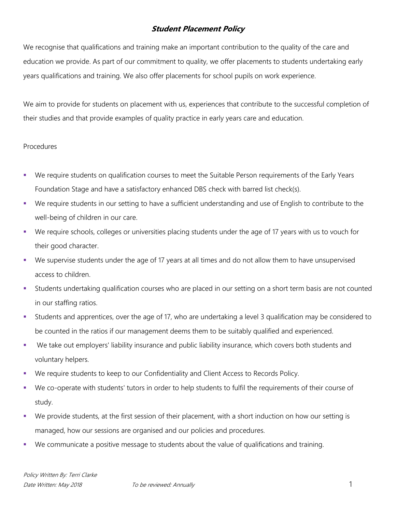## **Student Placement Policy**

We recognise that qualifications and training make an important contribution to the quality of the care and education we provide. As part of our commitment to quality, we offer placements to students undertaking early years qualifications and training. We also offer placements for school pupils on work experience.

We aim to provide for students on placement with us, experiences that contribute to the successful completion of their studies and that provide examples of quality practice in early years care and education.

## **Procedures**

- We require students on qualification courses to meet the Suitable Person requirements of the Early Years Foundation Stage and have a satisfactory enhanced DBS check with barred list check(s).
- We require students in our setting to have a sufficient understanding and use of English to contribute to the well-being of children in our care.
- We require schools, colleges or universities placing students under the age of 17 years with us to vouch for their good character.
- We supervise students under the age of 17 years at all times and do not allow them to have unsupervised access to children.
- Students undertaking qualification courses who are placed in our setting on a short term basis are not counted in our staffing ratios.
- Students and apprentices, over the age of 17, who are undertaking a level 3 qualification may be considered to be counted in the ratios if our management deems them to be suitably qualified and experienced.
- We take out employers' liability insurance and public liability insurance, which covers both students and voluntary helpers.
- We require students to keep to our Confidentiality and Client Access to Records Policy.
- We co-operate with students' tutors in order to help students to fulfil the requirements of their course of study.
- We provide students, at the first session of their placement, with a short induction on how our setting is managed, how our sessions are organised and our policies and procedures.
- We communicate a positive message to students about the value of qualifications and training.